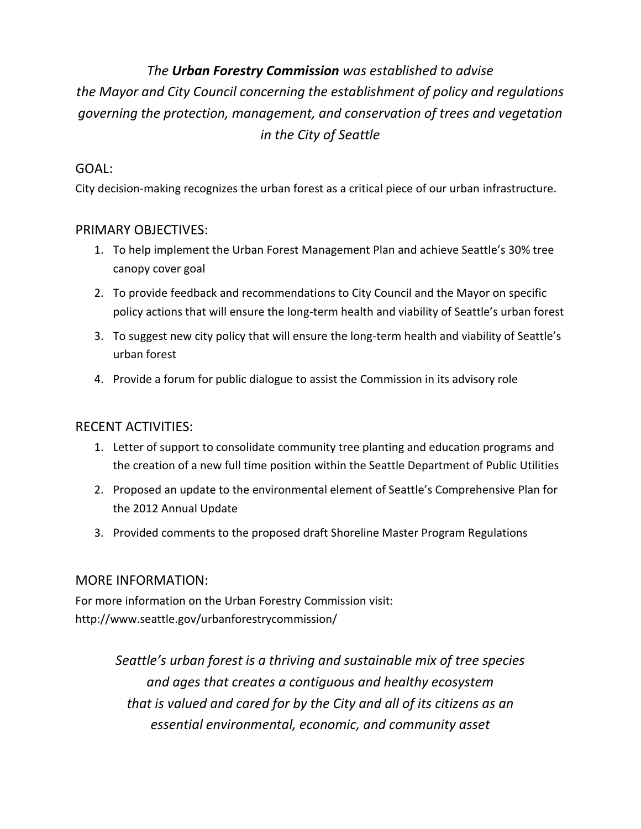# *The Urban Forestry Commission was established to advise*

*the Mayor and City Council concerning the establishment of policy and regulations governing the protection, management, and conservation of trees and vegetation in the City of Seattle*

### GOAL:

City decision-making recognizes the urban forest as a critical piece of our urban infrastructure.

## PRIMARY OBJECTIVES:

- 1. To help implement the Urban Forest Management Plan and achieve Seattle's 30% tree canopy cover goal
- 2. To provide feedback and recommendations to City Council and the Mayor on specific policy actions that will ensure the long-term health and viability of Seattle's urban forest
- 3. To suggest new city policy that will ensure the long-term health and viability of Seattle's urban forest
- 4. Provide a forum for public dialogue to assist the Commission in its advisory role

## RECENT ACTIVITIES:

- 1. Letter of support to consolidate community tree planting and education programs and the creation of a new full time position within the Seattle Department of Public Utilities
- 2. Proposed an update to the environmental element of Seattle's Comprehensive Plan for the 2012 Annual Update
- 3. Provided comments to the proposed draft Shoreline Master Program Regulations

## MORE INFORMATION:

For more information on the Urban Forestry Commission visit: http://www.seattle.gov/urbanforestrycommission/

> *Seattle's urban forest is a thriving and sustainable mix of tree species and ages that creates a contiguous and healthy ecosystem that is valued and cared for by the City and all of its citizens as an essential environmental, economic, and community asset*